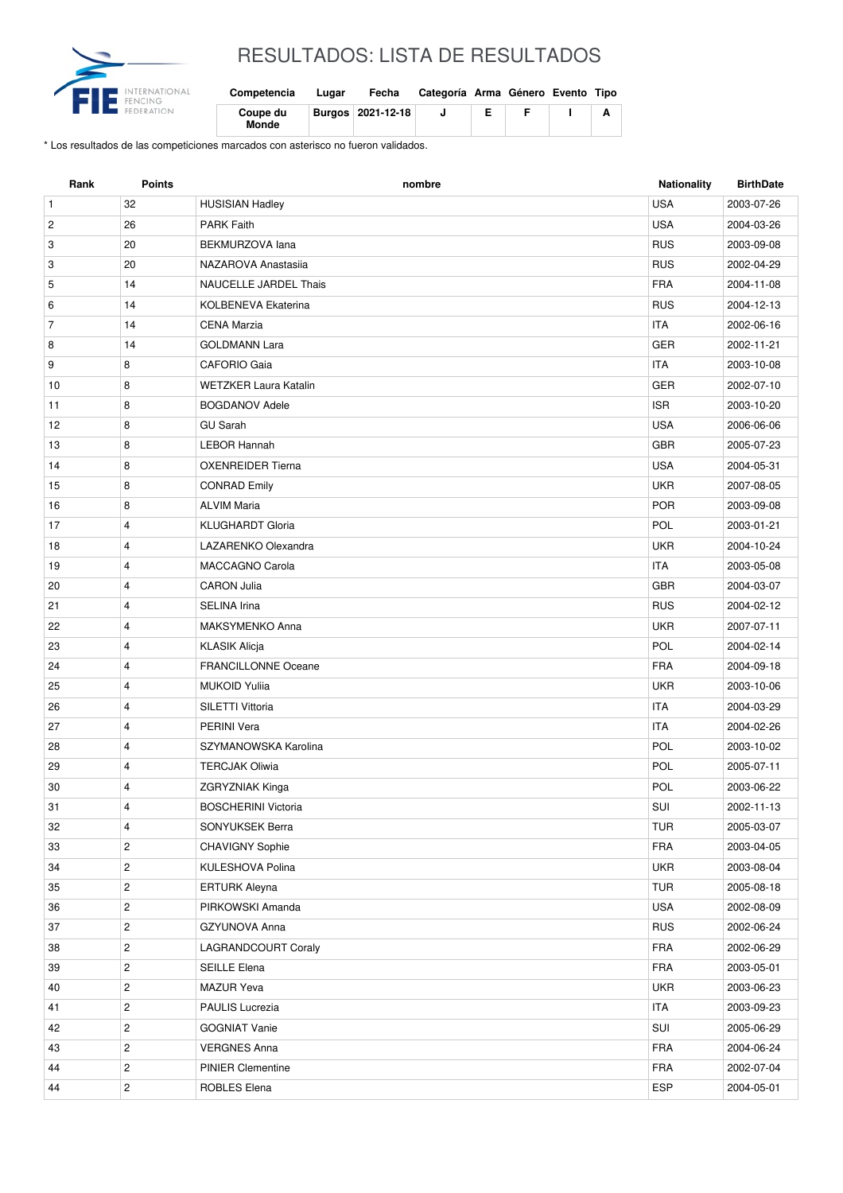

## RESULTADOS: LISTA DE RESULTADOS

| Competencia       | Lugar | Fecha             | Categoría Arma Género Evento Tipo |  |  |
|-------------------|-------|-------------------|-----------------------------------|--|--|
| Coupe du<br>Monde |       | Burgos 2021-12-18 |                                   |  |  |

\* Los resultados de las competiciones marcados con asterisco no fueron validados.

| <b>USA</b><br>$\mathbf{1}$<br>32<br><b>HUSISIAN Hadley</b><br>2003-07-26<br>$\overline{c}$<br>26<br><b>PARK Faith</b><br><b>USA</b><br>2004-03-26<br>20<br><b>RUS</b><br>3<br>BEKMURZOVA lana<br>2003-09-08<br>20<br><b>RUS</b><br>3<br>NAZAROVA Anastasiia<br>2002-04-29<br><b>FRA</b><br>5<br>14<br>NAUCELLE JARDEL Thais<br>2004-11-08<br>14<br><b>RUS</b><br>6<br><b>KOLBENEVA Ekaterina</b><br>2004-12-13<br><b>ITA</b><br>7<br>14<br><b>CENA Marzia</b><br>2002-06-16<br>14<br><b>GER</b><br>8<br><b>GOLDMANN Lara</b><br>2002-11-21<br>8<br><b>ITA</b><br>9<br><b>CAFORIO Gaia</b><br>2003-10-08<br>GER<br>10<br>8<br><b>WETZKER Laura Katalin</b><br>2002-07-10<br><b>ISR</b><br>11<br>8<br><b>BOGDANOV Adele</b><br>2003-10-20<br>8<br><b>USA</b><br>12<br><b>GU Sarah</b><br>2006-06-06<br><b>LEBOR Hannah</b><br><b>GBR</b><br>13<br>8<br>2005-07-23<br>8<br><b>USA</b><br>14<br><b>OXENREIDER Tierna</b><br>2004-05-31<br>8<br><b>UKR</b><br>15<br><b>CONRAD Emily</b><br>2007-08-05<br><b>ALVIM Maria</b><br><b>POR</b><br>8<br>2003-09-08<br>16<br>POL<br>17<br>$\overline{4}$<br><b>KLUGHARDT Gloria</b><br>2003-01-21<br><b>UKR</b><br>4<br>LAZARENKO Olexandra<br>2004-10-24<br>18<br><b>ITA</b><br>19<br>4<br><b>MACCAGNO Carola</b><br>2003-05-08<br>20<br>$\overline{4}$<br><b>GBR</b><br><b>CARON Julia</b><br>2004-03-07<br><b>RUS</b><br>21<br>$\overline{4}$<br><b>SELINA Irina</b><br>2004-02-12<br><b>UKR</b><br>22<br>4<br>MAKSYMENKO Anna<br>2007-07-11<br>POL<br>23<br>4<br><b>KLASIK Alicja</b><br>2004-02-14<br>24<br><b>FRANCILLONNE Oceane</b><br><b>FRA</b><br>4<br>2004-09-18<br><b>UKR</b><br>25<br>4<br><b>MUKOID Yulija</b><br>2003-10-06<br>$\overline{4}$<br><b>ITA</b><br>26<br>SILETTI Vittoria<br>2004-03-29<br><b>ITA</b><br>27<br>4<br><b>PERINI Vera</b><br>2004-02-26<br>28<br>$\overline{4}$<br>SZYMANOWSKA Karolina<br>POL<br>2003-10-02<br>4<br>POL<br>29<br><b>TERCJAK Oliwia</b><br>2005-07-11<br>POL<br>30<br>4<br><b>ZGRYZNIAK Kinga</b><br>2003-06-22<br>SUI<br>31<br>4<br><b>BOSCHERINI Victoria</b><br>2002-11-13<br>4<br>SONYUKSEK Berra<br>TUR<br>2005-03-07<br>32<br>FRA<br>$\overline{c}$<br>CHAVIGNY Sophie<br>33<br>2003-04-05<br>$\overline{c}$<br><b>UKR</b><br>34<br>KULESHOVA Polina<br>2003-08-04<br>35<br>$\overline{c}$<br>TUR<br><b>ERTURK Aleyna</b><br>2005-08-18<br><b>USA</b><br>$\overline{c}$<br>36<br>PIRKOWSKI Amanda<br>2002-08-09<br>$\overline{c}$<br><b>RUS</b><br>37<br>GZYUNOVA Anna<br>2002-06-24<br>$\overline{c}$<br>LAGRANDCOURT Coraly<br><b>FRA</b><br>38<br>2002-06-29<br>$\overline{c}$<br>39<br>SEILLE Elena<br><b>FRA</b><br>2003-05-01<br>$\overline{c}$<br>MAZUR Yeva<br><b>UKR</b><br>40<br>2003-06-23<br>PAULIS Lucrezia<br><b>ITA</b><br>41<br>$\overline{c}$<br>2003-09-23<br>$\mathbf{2}$<br>SUI<br>42<br><b>GOGNIAT Vanie</b><br>2005-06-29<br><b>VERGNES Anna</b><br>FRA<br>43<br>$\overline{c}$<br>2004-06-24 | Rank | <b>Points</b>  | nombre                   | <b>Nationality</b> | <b>BirthDate</b> |
|------------------------------------------------------------------------------------------------------------------------------------------------------------------------------------------------------------------------------------------------------------------------------------------------------------------------------------------------------------------------------------------------------------------------------------------------------------------------------------------------------------------------------------------------------------------------------------------------------------------------------------------------------------------------------------------------------------------------------------------------------------------------------------------------------------------------------------------------------------------------------------------------------------------------------------------------------------------------------------------------------------------------------------------------------------------------------------------------------------------------------------------------------------------------------------------------------------------------------------------------------------------------------------------------------------------------------------------------------------------------------------------------------------------------------------------------------------------------------------------------------------------------------------------------------------------------------------------------------------------------------------------------------------------------------------------------------------------------------------------------------------------------------------------------------------------------------------------------------------------------------------------------------------------------------------------------------------------------------------------------------------------------------------------------------------------------------------------------------------------------------------------------------------------------------------------------------------------------------------------------------------------------------------------------------------------------------------------------------------------------------------------------------------------------------------------------------------------------------------------------------------------------------------------------------------------------------------------------------------------------------------------------------------------------------------------------------------------------------------------------------------------------------------------------------------------------------------------------------------------------------------------------------------------------|------|----------------|--------------------------|--------------------|------------------|
|                                                                                                                                                                                                                                                                                                                                                                                                                                                                                                                                                                                                                                                                                                                                                                                                                                                                                                                                                                                                                                                                                                                                                                                                                                                                                                                                                                                                                                                                                                                                                                                                                                                                                                                                                                                                                                                                                                                                                                                                                                                                                                                                                                                                                                                                                                                                                                                                                                                                                                                                                                                                                                                                                                                                                                                                                                                                                                                        |      |                |                          |                    |                  |
|                                                                                                                                                                                                                                                                                                                                                                                                                                                                                                                                                                                                                                                                                                                                                                                                                                                                                                                                                                                                                                                                                                                                                                                                                                                                                                                                                                                                                                                                                                                                                                                                                                                                                                                                                                                                                                                                                                                                                                                                                                                                                                                                                                                                                                                                                                                                                                                                                                                                                                                                                                                                                                                                                                                                                                                                                                                                                                                        |      |                |                          |                    |                  |
|                                                                                                                                                                                                                                                                                                                                                                                                                                                                                                                                                                                                                                                                                                                                                                                                                                                                                                                                                                                                                                                                                                                                                                                                                                                                                                                                                                                                                                                                                                                                                                                                                                                                                                                                                                                                                                                                                                                                                                                                                                                                                                                                                                                                                                                                                                                                                                                                                                                                                                                                                                                                                                                                                                                                                                                                                                                                                                                        |      |                |                          |                    |                  |
|                                                                                                                                                                                                                                                                                                                                                                                                                                                                                                                                                                                                                                                                                                                                                                                                                                                                                                                                                                                                                                                                                                                                                                                                                                                                                                                                                                                                                                                                                                                                                                                                                                                                                                                                                                                                                                                                                                                                                                                                                                                                                                                                                                                                                                                                                                                                                                                                                                                                                                                                                                                                                                                                                                                                                                                                                                                                                                                        |      |                |                          |                    |                  |
|                                                                                                                                                                                                                                                                                                                                                                                                                                                                                                                                                                                                                                                                                                                                                                                                                                                                                                                                                                                                                                                                                                                                                                                                                                                                                                                                                                                                                                                                                                                                                                                                                                                                                                                                                                                                                                                                                                                                                                                                                                                                                                                                                                                                                                                                                                                                                                                                                                                                                                                                                                                                                                                                                                                                                                                                                                                                                                                        |      |                |                          |                    |                  |
|                                                                                                                                                                                                                                                                                                                                                                                                                                                                                                                                                                                                                                                                                                                                                                                                                                                                                                                                                                                                                                                                                                                                                                                                                                                                                                                                                                                                                                                                                                                                                                                                                                                                                                                                                                                                                                                                                                                                                                                                                                                                                                                                                                                                                                                                                                                                                                                                                                                                                                                                                                                                                                                                                                                                                                                                                                                                                                                        |      |                |                          |                    |                  |
|                                                                                                                                                                                                                                                                                                                                                                                                                                                                                                                                                                                                                                                                                                                                                                                                                                                                                                                                                                                                                                                                                                                                                                                                                                                                                                                                                                                                                                                                                                                                                                                                                                                                                                                                                                                                                                                                                                                                                                                                                                                                                                                                                                                                                                                                                                                                                                                                                                                                                                                                                                                                                                                                                                                                                                                                                                                                                                                        |      |                |                          |                    |                  |
|                                                                                                                                                                                                                                                                                                                                                                                                                                                                                                                                                                                                                                                                                                                                                                                                                                                                                                                                                                                                                                                                                                                                                                                                                                                                                                                                                                                                                                                                                                                                                                                                                                                                                                                                                                                                                                                                                                                                                                                                                                                                                                                                                                                                                                                                                                                                                                                                                                                                                                                                                                                                                                                                                                                                                                                                                                                                                                                        |      |                |                          |                    |                  |
|                                                                                                                                                                                                                                                                                                                                                                                                                                                                                                                                                                                                                                                                                                                                                                                                                                                                                                                                                                                                                                                                                                                                                                                                                                                                                                                                                                                                                                                                                                                                                                                                                                                                                                                                                                                                                                                                                                                                                                                                                                                                                                                                                                                                                                                                                                                                                                                                                                                                                                                                                                                                                                                                                                                                                                                                                                                                                                                        |      |                |                          |                    |                  |
|                                                                                                                                                                                                                                                                                                                                                                                                                                                                                                                                                                                                                                                                                                                                                                                                                                                                                                                                                                                                                                                                                                                                                                                                                                                                                                                                                                                                                                                                                                                                                                                                                                                                                                                                                                                                                                                                                                                                                                                                                                                                                                                                                                                                                                                                                                                                                                                                                                                                                                                                                                                                                                                                                                                                                                                                                                                                                                                        |      |                |                          |                    |                  |
|                                                                                                                                                                                                                                                                                                                                                                                                                                                                                                                                                                                                                                                                                                                                                                                                                                                                                                                                                                                                                                                                                                                                                                                                                                                                                                                                                                                                                                                                                                                                                                                                                                                                                                                                                                                                                                                                                                                                                                                                                                                                                                                                                                                                                                                                                                                                                                                                                                                                                                                                                                                                                                                                                                                                                                                                                                                                                                                        |      |                |                          |                    |                  |
|                                                                                                                                                                                                                                                                                                                                                                                                                                                                                                                                                                                                                                                                                                                                                                                                                                                                                                                                                                                                                                                                                                                                                                                                                                                                                                                                                                                                                                                                                                                                                                                                                                                                                                                                                                                                                                                                                                                                                                                                                                                                                                                                                                                                                                                                                                                                                                                                                                                                                                                                                                                                                                                                                                                                                                                                                                                                                                                        |      |                |                          |                    |                  |
|                                                                                                                                                                                                                                                                                                                                                                                                                                                                                                                                                                                                                                                                                                                                                                                                                                                                                                                                                                                                                                                                                                                                                                                                                                                                                                                                                                                                                                                                                                                                                                                                                                                                                                                                                                                                                                                                                                                                                                                                                                                                                                                                                                                                                                                                                                                                                                                                                                                                                                                                                                                                                                                                                                                                                                                                                                                                                                                        |      |                |                          |                    |                  |
|                                                                                                                                                                                                                                                                                                                                                                                                                                                                                                                                                                                                                                                                                                                                                                                                                                                                                                                                                                                                                                                                                                                                                                                                                                                                                                                                                                                                                                                                                                                                                                                                                                                                                                                                                                                                                                                                                                                                                                                                                                                                                                                                                                                                                                                                                                                                                                                                                                                                                                                                                                                                                                                                                                                                                                                                                                                                                                                        |      |                |                          |                    |                  |
|                                                                                                                                                                                                                                                                                                                                                                                                                                                                                                                                                                                                                                                                                                                                                                                                                                                                                                                                                                                                                                                                                                                                                                                                                                                                                                                                                                                                                                                                                                                                                                                                                                                                                                                                                                                                                                                                                                                                                                                                                                                                                                                                                                                                                                                                                                                                                                                                                                                                                                                                                                                                                                                                                                                                                                                                                                                                                                                        |      |                |                          |                    |                  |
|                                                                                                                                                                                                                                                                                                                                                                                                                                                                                                                                                                                                                                                                                                                                                                                                                                                                                                                                                                                                                                                                                                                                                                                                                                                                                                                                                                                                                                                                                                                                                                                                                                                                                                                                                                                                                                                                                                                                                                                                                                                                                                                                                                                                                                                                                                                                                                                                                                                                                                                                                                                                                                                                                                                                                                                                                                                                                                                        |      |                |                          |                    |                  |
|                                                                                                                                                                                                                                                                                                                                                                                                                                                                                                                                                                                                                                                                                                                                                                                                                                                                                                                                                                                                                                                                                                                                                                                                                                                                                                                                                                                                                                                                                                                                                                                                                                                                                                                                                                                                                                                                                                                                                                                                                                                                                                                                                                                                                                                                                                                                                                                                                                                                                                                                                                                                                                                                                                                                                                                                                                                                                                                        |      |                |                          |                    |                  |
|                                                                                                                                                                                                                                                                                                                                                                                                                                                                                                                                                                                                                                                                                                                                                                                                                                                                                                                                                                                                                                                                                                                                                                                                                                                                                                                                                                                                                                                                                                                                                                                                                                                                                                                                                                                                                                                                                                                                                                                                                                                                                                                                                                                                                                                                                                                                                                                                                                                                                                                                                                                                                                                                                                                                                                                                                                                                                                                        |      |                |                          |                    |                  |
|                                                                                                                                                                                                                                                                                                                                                                                                                                                                                                                                                                                                                                                                                                                                                                                                                                                                                                                                                                                                                                                                                                                                                                                                                                                                                                                                                                                                                                                                                                                                                                                                                                                                                                                                                                                                                                                                                                                                                                                                                                                                                                                                                                                                                                                                                                                                                                                                                                                                                                                                                                                                                                                                                                                                                                                                                                                                                                                        |      |                |                          |                    |                  |
|                                                                                                                                                                                                                                                                                                                                                                                                                                                                                                                                                                                                                                                                                                                                                                                                                                                                                                                                                                                                                                                                                                                                                                                                                                                                                                                                                                                                                                                                                                                                                                                                                                                                                                                                                                                                                                                                                                                                                                                                                                                                                                                                                                                                                                                                                                                                                                                                                                                                                                                                                                                                                                                                                                                                                                                                                                                                                                                        |      |                |                          |                    |                  |
|                                                                                                                                                                                                                                                                                                                                                                                                                                                                                                                                                                                                                                                                                                                                                                                                                                                                                                                                                                                                                                                                                                                                                                                                                                                                                                                                                                                                                                                                                                                                                                                                                                                                                                                                                                                                                                                                                                                                                                                                                                                                                                                                                                                                                                                                                                                                                                                                                                                                                                                                                                                                                                                                                                                                                                                                                                                                                                                        |      |                |                          |                    |                  |
|                                                                                                                                                                                                                                                                                                                                                                                                                                                                                                                                                                                                                                                                                                                                                                                                                                                                                                                                                                                                                                                                                                                                                                                                                                                                                                                                                                                                                                                                                                                                                                                                                                                                                                                                                                                                                                                                                                                                                                                                                                                                                                                                                                                                                                                                                                                                                                                                                                                                                                                                                                                                                                                                                                                                                                                                                                                                                                                        |      |                |                          |                    |                  |
|                                                                                                                                                                                                                                                                                                                                                                                                                                                                                                                                                                                                                                                                                                                                                                                                                                                                                                                                                                                                                                                                                                                                                                                                                                                                                                                                                                                                                                                                                                                                                                                                                                                                                                                                                                                                                                                                                                                                                                                                                                                                                                                                                                                                                                                                                                                                                                                                                                                                                                                                                                                                                                                                                                                                                                                                                                                                                                                        |      |                |                          |                    |                  |
|                                                                                                                                                                                                                                                                                                                                                                                                                                                                                                                                                                                                                                                                                                                                                                                                                                                                                                                                                                                                                                                                                                                                                                                                                                                                                                                                                                                                                                                                                                                                                                                                                                                                                                                                                                                                                                                                                                                                                                                                                                                                                                                                                                                                                                                                                                                                                                                                                                                                                                                                                                                                                                                                                                                                                                                                                                                                                                                        |      |                |                          |                    |                  |
|                                                                                                                                                                                                                                                                                                                                                                                                                                                                                                                                                                                                                                                                                                                                                                                                                                                                                                                                                                                                                                                                                                                                                                                                                                                                                                                                                                                                                                                                                                                                                                                                                                                                                                                                                                                                                                                                                                                                                                                                                                                                                                                                                                                                                                                                                                                                                                                                                                                                                                                                                                                                                                                                                                                                                                                                                                                                                                                        |      |                |                          |                    |                  |
|                                                                                                                                                                                                                                                                                                                                                                                                                                                                                                                                                                                                                                                                                                                                                                                                                                                                                                                                                                                                                                                                                                                                                                                                                                                                                                                                                                                                                                                                                                                                                                                                                                                                                                                                                                                                                                                                                                                                                                                                                                                                                                                                                                                                                                                                                                                                                                                                                                                                                                                                                                                                                                                                                                                                                                                                                                                                                                                        |      |                |                          |                    |                  |
|                                                                                                                                                                                                                                                                                                                                                                                                                                                                                                                                                                                                                                                                                                                                                                                                                                                                                                                                                                                                                                                                                                                                                                                                                                                                                                                                                                                                                                                                                                                                                                                                                                                                                                                                                                                                                                                                                                                                                                                                                                                                                                                                                                                                                                                                                                                                                                                                                                                                                                                                                                                                                                                                                                                                                                                                                                                                                                                        |      |                |                          |                    |                  |
|                                                                                                                                                                                                                                                                                                                                                                                                                                                                                                                                                                                                                                                                                                                                                                                                                                                                                                                                                                                                                                                                                                                                                                                                                                                                                                                                                                                                                                                                                                                                                                                                                                                                                                                                                                                                                                                                                                                                                                                                                                                                                                                                                                                                                                                                                                                                                                                                                                                                                                                                                                                                                                                                                                                                                                                                                                                                                                                        |      |                |                          |                    |                  |
|                                                                                                                                                                                                                                                                                                                                                                                                                                                                                                                                                                                                                                                                                                                                                                                                                                                                                                                                                                                                                                                                                                                                                                                                                                                                                                                                                                                                                                                                                                                                                                                                                                                                                                                                                                                                                                                                                                                                                                                                                                                                                                                                                                                                                                                                                                                                                                                                                                                                                                                                                                                                                                                                                                                                                                                                                                                                                                                        |      |                |                          |                    |                  |
|                                                                                                                                                                                                                                                                                                                                                                                                                                                                                                                                                                                                                                                                                                                                                                                                                                                                                                                                                                                                                                                                                                                                                                                                                                                                                                                                                                                                                                                                                                                                                                                                                                                                                                                                                                                                                                                                                                                                                                                                                                                                                                                                                                                                                                                                                                                                                                                                                                                                                                                                                                                                                                                                                                                                                                                                                                                                                                                        |      |                |                          |                    |                  |
|                                                                                                                                                                                                                                                                                                                                                                                                                                                                                                                                                                                                                                                                                                                                                                                                                                                                                                                                                                                                                                                                                                                                                                                                                                                                                                                                                                                                                                                                                                                                                                                                                                                                                                                                                                                                                                                                                                                                                                                                                                                                                                                                                                                                                                                                                                                                                                                                                                                                                                                                                                                                                                                                                                                                                                                                                                                                                                                        |      |                |                          |                    |                  |
|                                                                                                                                                                                                                                                                                                                                                                                                                                                                                                                                                                                                                                                                                                                                                                                                                                                                                                                                                                                                                                                                                                                                                                                                                                                                                                                                                                                                                                                                                                                                                                                                                                                                                                                                                                                                                                                                                                                                                                                                                                                                                                                                                                                                                                                                                                                                                                                                                                                                                                                                                                                                                                                                                                                                                                                                                                                                                                                        |      |                |                          |                    |                  |
|                                                                                                                                                                                                                                                                                                                                                                                                                                                                                                                                                                                                                                                                                                                                                                                                                                                                                                                                                                                                                                                                                                                                                                                                                                                                                                                                                                                                                                                                                                                                                                                                                                                                                                                                                                                                                                                                                                                                                                                                                                                                                                                                                                                                                                                                                                                                                                                                                                                                                                                                                                                                                                                                                                                                                                                                                                                                                                                        |      |                |                          |                    |                  |
|                                                                                                                                                                                                                                                                                                                                                                                                                                                                                                                                                                                                                                                                                                                                                                                                                                                                                                                                                                                                                                                                                                                                                                                                                                                                                                                                                                                                                                                                                                                                                                                                                                                                                                                                                                                                                                                                                                                                                                                                                                                                                                                                                                                                                                                                                                                                                                                                                                                                                                                                                                                                                                                                                                                                                                                                                                                                                                                        |      |                |                          |                    |                  |
|                                                                                                                                                                                                                                                                                                                                                                                                                                                                                                                                                                                                                                                                                                                                                                                                                                                                                                                                                                                                                                                                                                                                                                                                                                                                                                                                                                                                                                                                                                                                                                                                                                                                                                                                                                                                                                                                                                                                                                                                                                                                                                                                                                                                                                                                                                                                                                                                                                                                                                                                                                                                                                                                                                                                                                                                                                                                                                                        |      |                |                          |                    |                  |
|                                                                                                                                                                                                                                                                                                                                                                                                                                                                                                                                                                                                                                                                                                                                                                                                                                                                                                                                                                                                                                                                                                                                                                                                                                                                                                                                                                                                                                                                                                                                                                                                                                                                                                                                                                                                                                                                                                                                                                                                                                                                                                                                                                                                                                                                                                                                                                                                                                                                                                                                                                                                                                                                                                                                                                                                                                                                                                                        |      |                |                          |                    |                  |
|                                                                                                                                                                                                                                                                                                                                                                                                                                                                                                                                                                                                                                                                                                                                                                                                                                                                                                                                                                                                                                                                                                                                                                                                                                                                                                                                                                                                                                                                                                                                                                                                                                                                                                                                                                                                                                                                                                                                                                                                                                                                                                                                                                                                                                                                                                                                                                                                                                                                                                                                                                                                                                                                                                                                                                                                                                                                                                                        |      |                |                          |                    |                  |
|                                                                                                                                                                                                                                                                                                                                                                                                                                                                                                                                                                                                                                                                                                                                                                                                                                                                                                                                                                                                                                                                                                                                                                                                                                                                                                                                                                                                                                                                                                                                                                                                                                                                                                                                                                                                                                                                                                                                                                                                                                                                                                                                                                                                                                                                                                                                                                                                                                                                                                                                                                                                                                                                                                                                                                                                                                                                                                                        |      |                |                          |                    |                  |
|                                                                                                                                                                                                                                                                                                                                                                                                                                                                                                                                                                                                                                                                                                                                                                                                                                                                                                                                                                                                                                                                                                                                                                                                                                                                                                                                                                                                                                                                                                                                                                                                                                                                                                                                                                                                                                                                                                                                                                                                                                                                                                                                                                                                                                                                                                                                                                                                                                                                                                                                                                                                                                                                                                                                                                                                                                                                                                                        |      |                |                          |                    |                  |
|                                                                                                                                                                                                                                                                                                                                                                                                                                                                                                                                                                                                                                                                                                                                                                                                                                                                                                                                                                                                                                                                                                                                                                                                                                                                                                                                                                                                                                                                                                                                                                                                                                                                                                                                                                                                                                                                                                                                                                                                                                                                                                                                                                                                                                                                                                                                                                                                                                                                                                                                                                                                                                                                                                                                                                                                                                                                                                                        |      |                |                          |                    |                  |
|                                                                                                                                                                                                                                                                                                                                                                                                                                                                                                                                                                                                                                                                                                                                                                                                                                                                                                                                                                                                                                                                                                                                                                                                                                                                                                                                                                                                                                                                                                                                                                                                                                                                                                                                                                                                                                                                                                                                                                                                                                                                                                                                                                                                                                                                                                                                                                                                                                                                                                                                                                                                                                                                                                                                                                                                                                                                                                                        |      |                |                          |                    |                  |
|                                                                                                                                                                                                                                                                                                                                                                                                                                                                                                                                                                                                                                                                                                                                                                                                                                                                                                                                                                                                                                                                                                                                                                                                                                                                                                                                                                                                                                                                                                                                                                                                                                                                                                                                                                                                                                                                                                                                                                                                                                                                                                                                                                                                                                                                                                                                                                                                                                                                                                                                                                                                                                                                                                                                                                                                                                                                                                                        |      |                |                          |                    |                  |
|                                                                                                                                                                                                                                                                                                                                                                                                                                                                                                                                                                                                                                                                                                                                                                                                                                                                                                                                                                                                                                                                                                                                                                                                                                                                                                                                                                                                                                                                                                                                                                                                                                                                                                                                                                                                                                                                                                                                                                                                                                                                                                                                                                                                                                                                                                                                                                                                                                                                                                                                                                                                                                                                                                                                                                                                                                                                                                                        |      |                |                          |                    |                  |
|                                                                                                                                                                                                                                                                                                                                                                                                                                                                                                                                                                                                                                                                                                                                                                                                                                                                                                                                                                                                                                                                                                                                                                                                                                                                                                                                                                                                                                                                                                                                                                                                                                                                                                                                                                                                                                                                                                                                                                                                                                                                                                                                                                                                                                                                                                                                                                                                                                                                                                                                                                                                                                                                                                                                                                                                                                                                                                                        | 44   | $\overline{c}$ | <b>PINIER Clementine</b> | <b>FRA</b>         | 2002-07-04       |
| $\overline{\mathbf{c}}$<br>44<br>ROBLES Elena<br><b>ESP</b><br>2004-05-01                                                                                                                                                                                                                                                                                                                                                                                                                                                                                                                                                                                                                                                                                                                                                                                                                                                                                                                                                                                                                                                                                                                                                                                                                                                                                                                                                                                                                                                                                                                                                                                                                                                                                                                                                                                                                                                                                                                                                                                                                                                                                                                                                                                                                                                                                                                                                                                                                                                                                                                                                                                                                                                                                                                                                                                                                                              |      |                |                          |                    |                  |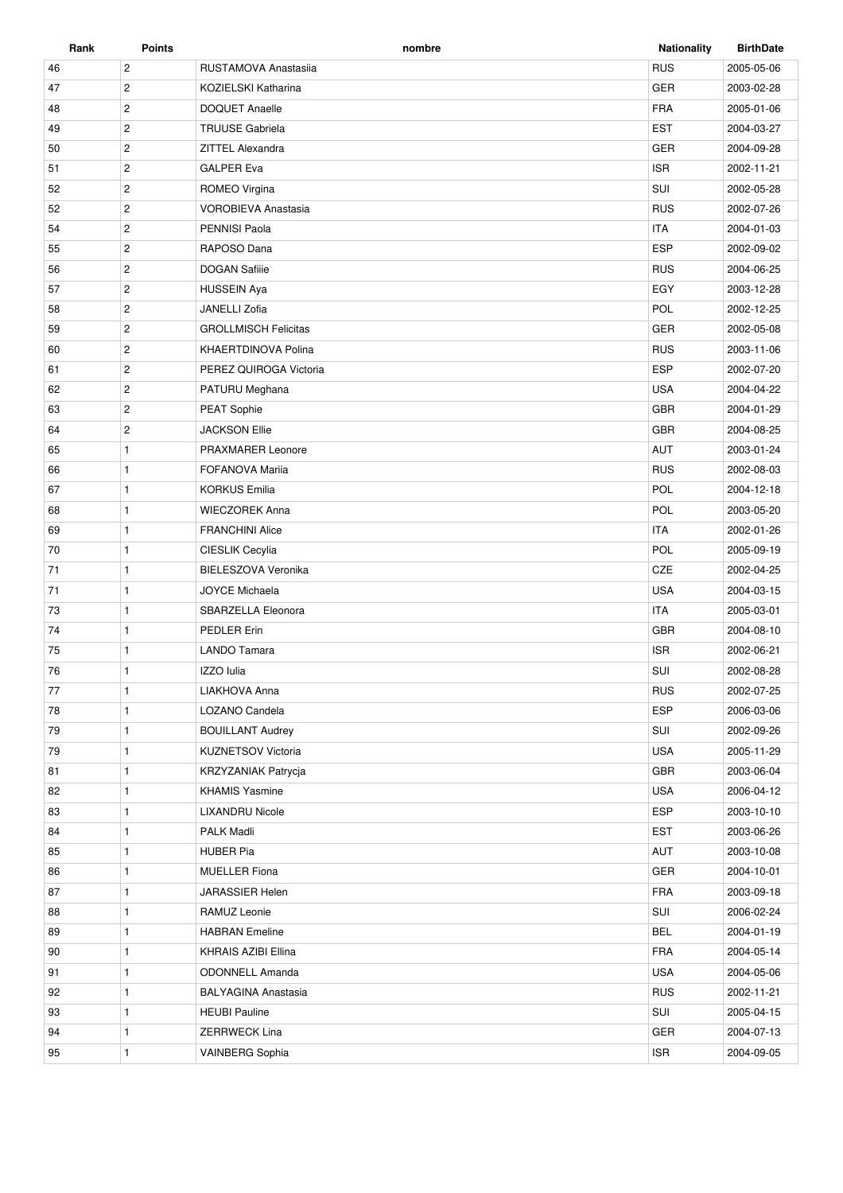| Rank | <b>Points</b>  | nombre                      | <b>Nationality</b> | <b>BirthDate</b> |
|------|----------------|-----------------------------|--------------------|------------------|
| 46   | $\overline{c}$ | RUSTAMOVA Anastasija        | <b>RUS</b>         | 2005-05-06       |
| 47   | $\overline{c}$ | KOZIELSKI Katharina         | <b>GER</b>         | 2003-02-28       |
| 48   | $\overline{2}$ | <b>DOQUET Anaelle</b>       | <b>FRA</b>         | 2005-01-06       |
| 49   | $\sqrt{2}$     | <b>TRUUSE Gabriela</b>      | <b>EST</b>         | 2004-03-27       |
| 50   | $\overline{c}$ | ZITTEL Alexandra            | <b>GER</b>         | 2004-09-28       |
| 51   | $\overline{c}$ | <b>GALPER Eva</b>           | <b>ISR</b>         | 2002-11-21       |
| 52   | $\overline{c}$ | ROMEO Virgina               | SUI                | 2002-05-28       |
| 52   | $\overline{c}$ | <b>VOROBIEVA Anastasia</b>  | <b>RUS</b>         | 2002-07-26       |
| 54   | $\overline{c}$ | <b>PENNISI Paola</b>        | <b>ITA</b>         | 2004-01-03       |
| 55   | $\overline{2}$ | RAPOSO Dana                 | <b>ESP</b>         | 2002-09-02       |
| 56   | $\overline{c}$ | <b>DOGAN Safille</b>        | <b>RUS</b>         | 2004-06-25       |
| 57   | $\sqrt{2}$     | <b>HUSSEIN Aya</b>          | EGY                | 2003-12-28       |
| 58   | $\overline{c}$ | JANELLI Zofia               | POL                | 2002-12-25       |
| 59   | $\overline{2}$ | <b>GROLLMISCH Felicitas</b> | <b>GER</b>         | 2002-05-08       |
| 60   | $\sqrt{2}$     | KHAERTDINOVA Polina         | <b>RUS</b>         | 2003-11-06       |
| 61   | $\overline{c}$ | PEREZ QUIROGA Victoria      | <b>ESP</b>         | 2002-07-20       |
| 62   | $\overline{c}$ | PATURU Meghana              | <b>USA</b>         | 2004-04-22       |
| 63   | $\overline{c}$ | <b>PEAT Sophie</b>          | <b>GBR</b>         | 2004-01-29       |
| 64   | $\overline{c}$ | <b>JACKSON Ellie</b>        | <b>GBR</b>         | 2004-08-25       |
| 65   | $\mathbf{1}$   | PRAXMARER Leonore           | AUT                | 2003-01-24       |
| 66   | $\mathbf{1}$   | <b>FOFANOVA Mariia</b>      | <b>RUS</b>         | 2002-08-03       |
| 67   | $\mathbf{1}$   | <b>KORKUS Emilia</b>        | POL                | 2004-12-18       |
| 68   | $\mathbf{1}$   | <b>WIECZOREK Anna</b>       | POL                | 2003-05-20       |
| 69   | $\mathbf{1}$   | <b>FRANCHINI Alice</b>      | <b>ITA</b>         | 2002-01-26       |
| 70   | $\mathbf{1}$   | CIESLIK Cecylia             | POL                | 2005-09-19       |
| 71   | $\mathbf{1}$   | BIELESZOVA Veronika         | CZE                | 2002-04-25       |
| 71   | $\mathbf{1}$   | <b>JOYCE Michaela</b>       | <b>USA</b>         | 2004-03-15       |
| 73   | $\mathbf{1}$   | SBARZELLA Eleonora          | <b>ITA</b>         | 2005-03-01       |
| 74   | $\mathbf{1}$   | <b>PEDLER Erin</b>          | <b>GBR</b>         | 2004-08-10       |
| 75   | $\mathbf{1}$   | <b>LANDO Tamara</b>         | <b>ISR</b>         | 2002-06-21       |
| 76   | $\mathbf{1}$   | IZZO lulia                  | SUI                | 2002-08-28       |
| 77   | $\mathbf{1}$   | LIAKHOVA Anna               | <b>RUS</b>         | 2002-07-25       |
| 78   | 1              | LOZANO Candela              | <b>ESP</b>         | 2006-03-06       |
| 79   | $\mathbf{1}$   | <b>BOUILLANT Audrey</b>     | SUI                | 2002-09-26       |
| 79   | $\mathbf{1}$   | KUZNETSOV Victoria          | USA                | 2005-11-29       |
| 81   | $\mathbf{1}$   | <b>KRZYZANIAK Patrycia</b>  | <b>GBR</b>         | 2003-06-04       |
| 82   | $\mathbf{1}$   | <b>KHAMIS Yasmine</b>       | USA                | 2006-04-12       |
| 83   | $\mathbf{1}$   | <b>LIXANDRU Nicole</b>      | <b>ESP</b>         | 2003-10-10       |
| 84   | 1              | PALK Madli                  | <b>EST</b>         | 2003-06-26       |
| 85   | $\mathbf{1}$   | HUBER Pia                   | AUT                | 2003-10-08       |
| 86   | $\mathbf{1}$   | <b>MUELLER Fiona</b>        | GER                | 2004-10-01       |
| 87   | $\mathbf{1}$   | JARASSIER Helen             | FRA                | 2003-09-18       |
| 88   | $\mathbf{1}$   | RAMUZ Leonie                | SUI                | 2006-02-24       |
| 89   | $\mathbf{1}$   | <b>HABRAN</b> Emeline       | <b>BEL</b>         | 2004-01-19       |
| 90   | $\mathbf{1}$   | KHRAIS AZIBI Ellina         | <b>FRA</b>         | 2004-05-14       |
| 91   | $\mathbf{1}$   | <b>ODONNELL Amanda</b>      | USA                | 2004-05-06       |
| 92   | $\mathbf{1}$   | <b>BALYAGINA Anastasia</b>  | <b>RUS</b>         | 2002-11-21       |
| 93   | $\mathbf{1}$   | <b>HEUBI Pauline</b>        | SUI                | 2005-04-15       |
| 94   | $\mathbf{1}$   | <b>ZERRWECK Lina</b>        | GER                | 2004-07-13       |
| 95   | $\mathbf{1}$   | VAINBERG Sophia             | <b>ISR</b>         | 2004-09-05       |
|      |                |                             |                    |                  |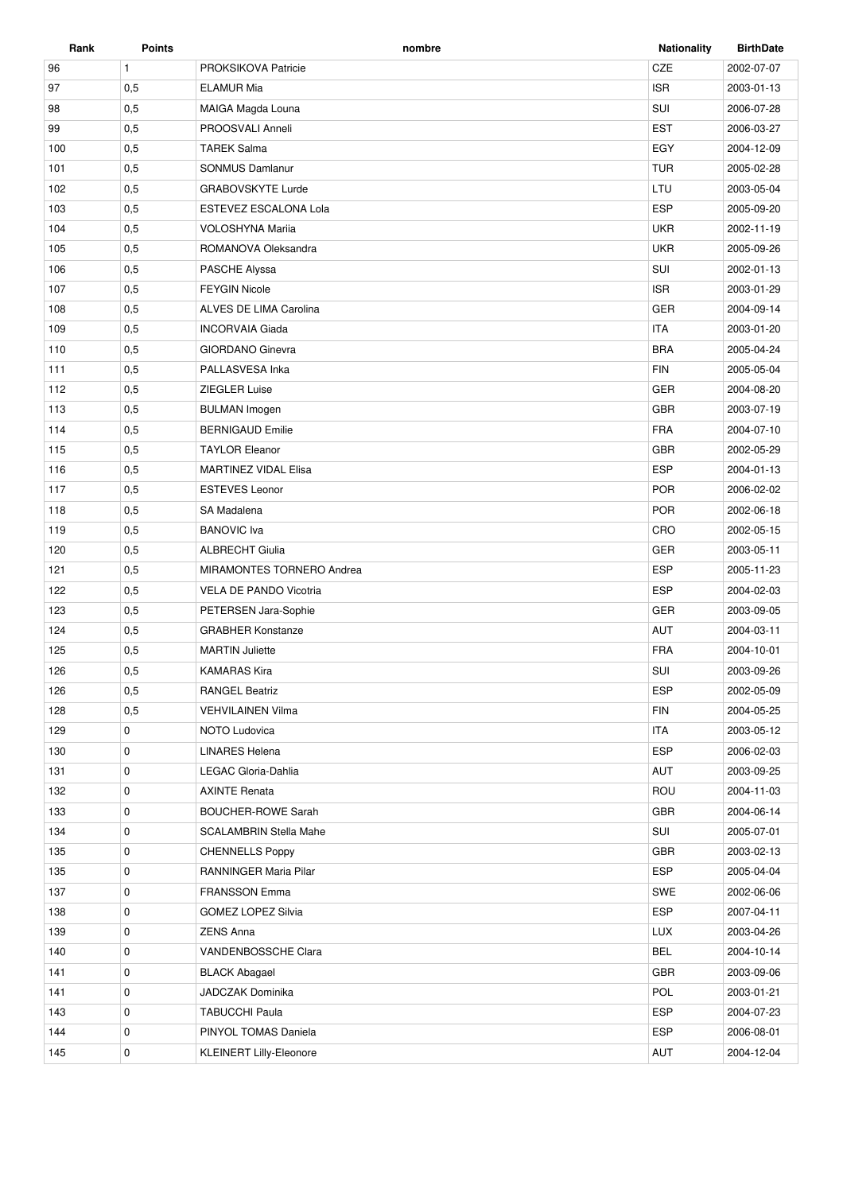| Rank | <b>Points</b> | nombre                        | <b>Nationality</b> | <b>BirthDate</b> |
|------|---------------|-------------------------------|--------------------|------------------|
| 96   | $\mathbf{1}$  | PROKSIKOVA Patricie           | CZE                | 2002-07-07       |
| 97   | 0,5           | <b>ELAMUR Mia</b>             | <b>ISR</b>         | 2003-01-13       |
| 98   | 0,5           | MAIGA Magda Louna             | SUI                | 2006-07-28       |
| 99   | 0,5           | PROOSVALI Anneli              | <b>EST</b>         | 2006-03-27       |
| 100  | 0,5           | <b>TAREK Salma</b>            | EGY                | 2004-12-09       |
| 101  | 0,5           | <b>SONMUS Damlanur</b>        | <b>TUR</b>         | 2005-02-28       |
| 102  | 0,5           | <b>GRABOVSKYTE Lurde</b>      | LTU                | 2003-05-04       |
| 103  | 0,5           | ESTEVEZ ESCALONA Lola         | <b>ESP</b>         | 2005-09-20       |
| 104  | 0,5           | <b>VOLOSHYNA Marija</b>       | <b>UKR</b>         | 2002-11-19       |
| 105  | 0,5           | ROMANOVA Oleksandra           | <b>UKR</b>         | 2005-09-26       |
| 106  | 0,5           | <b>PASCHE Alyssa</b>          | SUI                | 2002-01-13       |
| 107  | 0,5           | <b>FEYGIN Nicole</b>          | <b>ISR</b>         | 2003-01-29       |
| 108  | 0,5           | ALVES DE LIMA Carolina        | <b>GER</b>         | 2004-09-14       |
| 109  | 0,5           | <b>INCORVAIA Giada</b>        | <b>ITA</b>         | 2003-01-20       |
| 110  | 0,5           | <b>GIORDANO Ginevra</b>       | <b>BRA</b>         | 2005-04-24       |
| 111  | 0,5           | PALLASVESA Inka               | <b>FIN</b>         | 2005-05-04       |
| 112  | 0,5           | ZIEGLER Luise                 | <b>GER</b>         | 2004-08-20       |
| 113  | 0,5           | <b>BULMAN Imogen</b>          | <b>GBR</b>         | 2003-07-19       |
| 114  | 0,5           | <b>BERNIGAUD Emilie</b>       | <b>FRA</b>         | 2004-07-10       |
| 115  | 0,5           | <b>TAYLOR Eleanor</b>         | <b>GBR</b>         | 2002-05-29       |
| 116  | 0,5           | <b>MARTINEZ VIDAL Elisa</b>   | <b>ESP</b>         | 2004-01-13       |
| 117  | 0,5           | <b>ESTEVES Leonor</b>         | <b>POR</b>         | 2006-02-02       |
| 118  | 0,5           | SA Madalena                   | <b>POR</b>         | 2002-06-18       |
| 119  | 0,5           | <b>BANOVIC</b> Iva            | CRO                | 2002-05-15       |
| 120  | 0,5           | <b>ALBRECHT Giulia</b>        | <b>GER</b>         | 2003-05-11       |
| 121  | 0,5           | MIRAMONTES TORNERO Andrea     | <b>ESP</b>         | 2005-11-23       |
| 122  | 0,5           | <b>VELA DE PANDO Vicotria</b> | <b>ESP</b>         | 2004-02-03       |
| 123  | 0,5           | PETERSEN Jara-Sophie          | <b>GER</b>         | 2003-09-05       |
| 124  | 0,5           | <b>GRABHER Konstanze</b>      | <b>AUT</b>         | 2004-03-11       |
| 125  | 0,5           | <b>MARTIN Juliette</b>        | <b>FRA</b>         | 2004-10-01       |
| 126  | 0,5           | <b>KAMARAS Kira</b>           | SUI                | 2003-09-26       |
| 126  | 0,5           | <b>RANGEL Beatriz</b>         | <b>ESP</b>         | 2002-05-09       |
| 128  | 0,5           | <b>VEHVILAINEN Vilma</b>      | <b>FIN</b>         | 2004-05-25       |
| 129  | 0             | NOTO Ludovica                 | <b>ITA</b>         | 2003-05-12       |
| 130  | 0             | <b>LINARES Helena</b>         | <b>ESP</b>         | 2006-02-03       |
| 131  | 0             | LEGAC Gloria-Dahlia           | AUT                | 2003-09-25       |
| 132  | 0             | <b>AXINTE Renata</b>          | ROU                | 2004-11-03       |
| 133  | 0             | <b>BOUCHER-ROWE Sarah</b>     | <b>GBR</b>         | 2004-06-14       |
| 134  | 0             | <b>SCALAMBRIN Stella Mahe</b> | SUI                | 2005-07-01       |
| 135  | 0             | <b>CHENNELLS Poppy</b>        | <b>GBR</b>         | 2003-02-13       |
| 135  | 0             | RANNINGER Maria Pilar         | <b>ESP</b>         | 2005-04-04       |
| 137  | $\mathbf 0$   | <b>FRANSSON Emma</b>          | SWE                | 2002-06-06       |
| 138  | $\mathbf 0$   | <b>GOMEZ LOPEZ Silvia</b>     | <b>ESP</b>         | 2007-04-11       |
| 139  | 0             | <b>ZENS Anna</b>              | <b>LUX</b>         | 2003-04-26       |
| 140  | $\mathbf 0$   | VANDENBOSSCHE Clara           | <b>BEL</b>         | 2004-10-14       |
| 141  | 0             | <b>BLACK Abagael</b>          | <b>GBR</b>         | 2003-09-06       |
| 141  | 0             | JADCZAK Dominika              | POL                | 2003-01-21       |
| 143  | 0             | <b>TABUCCHI Paula</b>         | <b>ESP</b>         | 2004-07-23       |
| 144  | 0             | PINYOL TOMAS Daniela          | <b>ESP</b>         | 2006-08-01       |
| 145  | $\mathbf 0$   | KLEINERT Lilly-Eleonore       | AUT                | 2004-12-04       |
|      |               |                               |                    |                  |